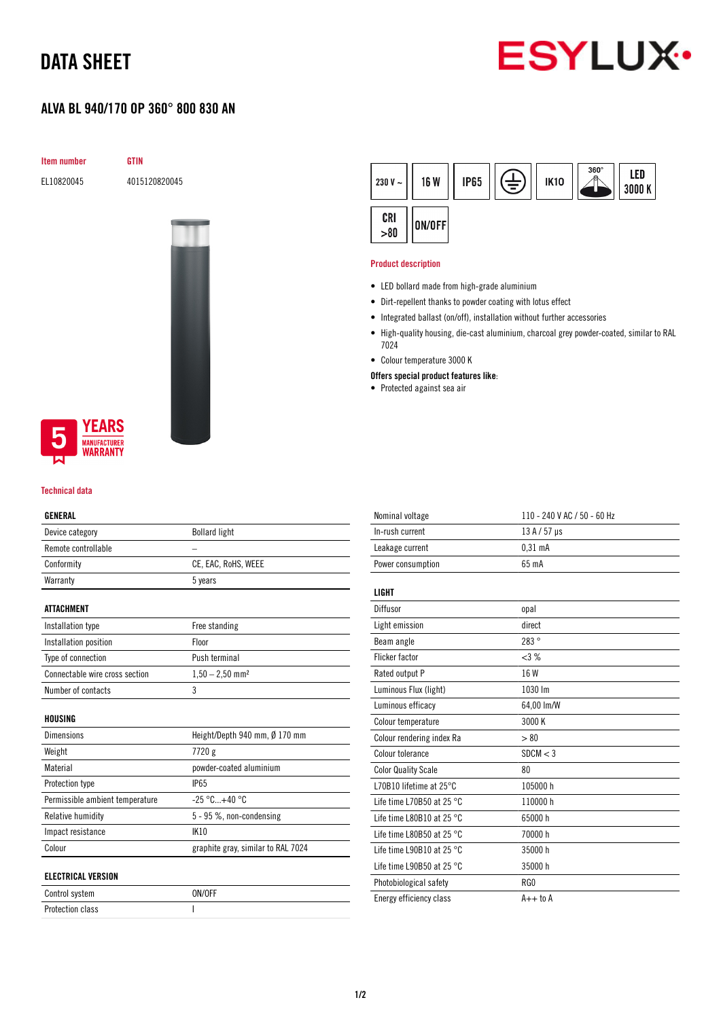# DATA SHEET

# **ESYLUX**

## ALVA BL 940/170 OP 360° 800 830 AN



EL10820045 4015120820045



### **YEARS NUFACTURER** WARRANTY

#### Technical data

#### GENERAL

| uliilinu                        |                                    |  |  |
|---------------------------------|------------------------------------|--|--|
| Device category                 | <b>Bollard light</b>               |  |  |
| Remote controllable             | $\overline{\phantom{0}}$           |  |  |
| Conformity                      | CE, EAC, RoHS, WEEE                |  |  |
| Warranty                        | 5 years                            |  |  |
| <b>ATTACHMENT</b>               |                                    |  |  |
| Installation type               | Free standing                      |  |  |
| Installation position           | Floor                              |  |  |
| Type of connection              | Push terminal                      |  |  |
| Connectable wire cross section  | $1,50 - 2,50$ mm <sup>2</sup>      |  |  |
| Number of contacts              | 3                                  |  |  |
| HOUSING                         |                                    |  |  |
| <b>Dimensions</b>               | Height/Depth 940 mm, Ø 170 mm      |  |  |
| Weight                          | 7720 g                             |  |  |
| Material                        | powder-coated aluminium            |  |  |
| Protection type                 | <b>IP65</b>                        |  |  |
| Permissible ambient temperature | $-25 °C+40 °C$                     |  |  |
| Relative humidity               | 5 - 95 %, non-condensing           |  |  |
| Impact resistance               | <b>IK10</b>                        |  |  |
| Colour                          | graphite gray, similar to RAL 7024 |  |  |
| <b>ELECTRICAL VERSION</b>       |                                    |  |  |
| Control system                  | ON/OFF                             |  |  |

Protection class and a set of the set of the set of the set of the set of the set of the set of the set of the

| 230 V $\sim$ | <b>16 W</b> | <b>IP65</b> | Ξ, | <b>IK10</b> | $\frac{360^{\circ}}{8}$ | LED<br>3000 K |
|--------------|-------------|-------------|----|-------------|-------------------------|---------------|
| CRI > 80     | ON/OFF      |             |    |             |                         |               |

#### Product description

- LED bollard made from high-grade aluminium
- Dirt-repellent thanks to powder coating with lotus effect
- Integrated ballast (on/off), installation without further accessories
- High-quality housing, die-cast aluminium, charcoal grey powder-coated, similar to RAL 7024
- Colour temperature 3000 K
- Offers special product features like:
- Protected against sea air

| Nominal voltage                     | 110 - 240 V AC / 50 - 60 Hz |
|-------------------------------------|-----------------------------|
| In-rush current                     | $13 A / 57 \,\mu s$         |
| Leakage current                     | 0.31 <sub>m</sub> A         |
| Power consumption                   | 65 mA                       |
|                                     |                             |
| LIGHT                               |                             |
| Diffusor                            | opal                        |
| Light emission                      | direct                      |
| Beam angle                          | 283°                        |
| <b>Flicker factor</b>               | $<3\%$                      |
| Rated output P                      | 16 W                        |
| Luminous Flux (light)               | 1030 lm                     |
| Luminous efficacy                   | 64,00 lm/W                  |
| Colour temperature                  | 3000 K                      |
| Colour rendering index Ra           | > 80                        |
| Colour tolerance                    | SDCM < 3                    |
| <b>Color Quality Scale</b>          | 80                          |
| L70B10 lifetime at 25°C             | 105000h                     |
| Life time L70B50 at 25 $^{\circ}$ C | 110000h                     |
| Life time L80B10 at 25 °C           | 65000h                      |
| Life time L80B50 at 25 $^{\circ}$ C | 70000 h                     |
| Life time L90B10 at 25 $^{\circ}$ C | 35000h                      |
| Life time L90B50 at 25 $^{\circ}$ C | 35000 h                     |
| Photobiological safety              | RG0                         |
| Energy efficiency class             | $A++$ to $A$                |
|                                     |                             |